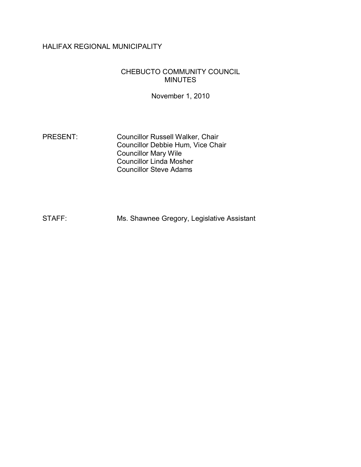# HALIFAX REGIONAL MUNICIPALITY

#### CHEBUCTO COMMUNITY COUNCIL MINUTES

November 1, 2010

PRESENT: Councillor Russell Walker, Chair Councillor Debbie Hum, Vice Chair Councillor Mary Wile Councillor Linda Mosher Councillor Steve Adams

STAFF: Ms. Shawnee Gregory, Legislative Assistant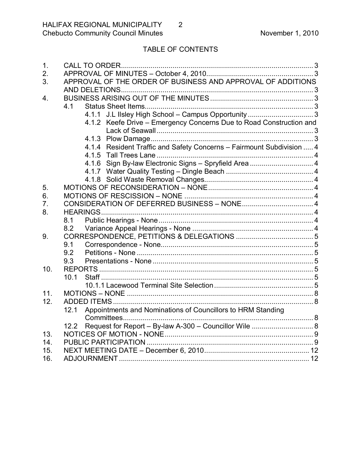# TABLE OF CONTENTS

| $\mathbf 1$ .  |                                                                       |  |
|----------------|-----------------------------------------------------------------------|--|
| 2.             |                                                                       |  |
| 3.             | APPROVAL OF THE ORDER OF BUSINESS AND APPROVAL OF ADDITIONS           |  |
|                |                                                                       |  |
| 4.             |                                                                       |  |
|                | 4.1                                                                   |  |
|                |                                                                       |  |
|                | 4.1.2 Keefe Drive - Emergency Concerns Due to Road Construction and   |  |
|                |                                                                       |  |
|                |                                                                       |  |
|                | 4.1.4 Resident Traffic and Safety Concerns - Fairmount Subdivision  4 |  |
|                |                                                                       |  |
|                | 4.1.6 Sign By-law Electronic Signs - Spryfield Area  4                |  |
|                |                                                                       |  |
|                |                                                                       |  |
| 5.             |                                                                       |  |
| 6.             |                                                                       |  |
| 7 <sub>1</sub> |                                                                       |  |
| 8.             |                                                                       |  |
|                | 8.1                                                                   |  |
|                | 8.2                                                                   |  |
| 9.             |                                                                       |  |
|                | 9.1                                                                   |  |
|                | 9.2                                                                   |  |
|                | 9.3                                                                   |  |
| 10.            |                                                                       |  |
|                | 10.1                                                                  |  |
|                |                                                                       |  |
| 11.            |                                                                       |  |
| 12.            |                                                                       |  |
|                | Appointments and Nominations of Councillors to HRM Standing<br>12.1   |  |
|                |                                                                       |  |
|                | Request for Report - By-law A-300 - Councillor Wile  8<br>12.2        |  |
| 13.            |                                                                       |  |
| 14.            |                                                                       |  |
| 15.            |                                                                       |  |
| 16.            |                                                                       |  |
|                |                                                                       |  |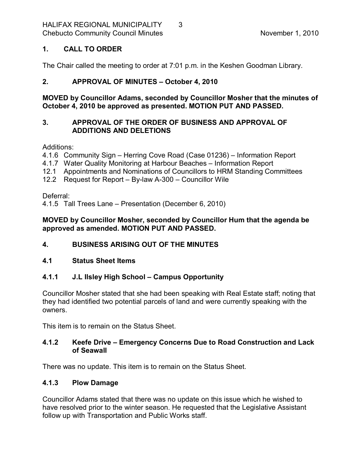### <span id="page-2-0"></span>**1. CALL TO ORDER**

The Chair called the meeting to order at 7:01 p.m. in the Keshen Goodman Library.

# <span id="page-2-1"></span>**2. APPROVAL OF MINUTES – October 4, 2010**

**MOVED by Councillor Adams, seconded by Councillor Mosher that the minutes of October 4, 2010 be approved as presented. MOTION PUT AND PASSED.** 

### <span id="page-2-2"></span>**3. APPROVAL OF THE ORDER OF BUSINESS AND APPROVAL OF ADDITIONS AND DELETIONS**

#### Additions:

- 4.1.6 Community Sign Herring Cove Road (Case 01236) Information Report
- 4.1.7 Water Quality Monitoring at Harbour Beaches Information Report
- 12.1 Appointments and Nominations of Councillors to HRM Standing Committees
- 12.2 Request for Report  $-$  By-law A-300  $-$  Councillor Wile

### Deferral:

4.1.5 Tall Trees Lane – Presentation (December 6, 2010)

### **MOVED by Councillor Mosher, seconded by Councillor Hum that the agenda be approved as amended. MOTION PUT AND PASSED.**

# <span id="page-2-3"></span>**4. BUSINESS ARISING OUT OF THE MINUTES**

# <span id="page-2-4"></span>**4.1 Status Sheet Items**

# <span id="page-2-5"></span>**4.1.1 J.L Ilsley High School – Campus Opportunity**

Councillor Mosher stated that she had been speaking with Real Estate staff; noting that they had identified two potential parcels of land and were currently speaking with the owners.

This item is to remain on the Status Sheet.

# <span id="page-2-6"></span>**4.1.2 Keefe Drive – Emergency Concerns Due to Road Construction and Lack of Seawall**

There was no update. This item is to remain on the Status Sheet.

# <span id="page-2-7"></span>**4.1.3 Plow Damage**

Councillor Adams stated that there was no update on this issue which he wished to have resolved prior to the winter season. He requested that the Legislative Assistant follow up with Transportation and Public Works staff.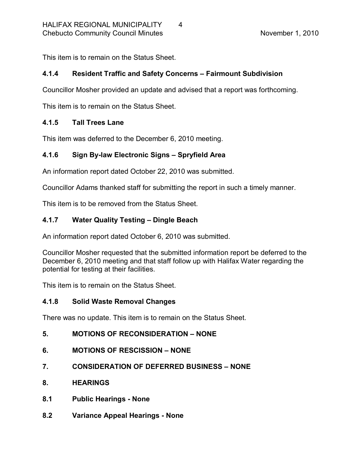This item is to remain on the Status Sheet.

# <span id="page-3-0"></span>**4.1.4 Resident Traffic and Safety Concerns – Fairmount Subdivision**

Councillor Mosher provided an update and advised that a report was forthcoming.

This item is to remain on the Status Sheet.

#### <span id="page-3-1"></span>**4.1.5 Tall Trees Lane**

This item was deferred to the December 6, 2010 meeting.

# <span id="page-3-2"></span>**4.1.6 Sign Bylaw Electronic Signs – Spryfield Area**

An information report dated October 22, 2010 was submitted.

Councillor Adams thanked staff for submitting the report in such a timely manner.

This item is to be removed from the Status Sheet.

# <span id="page-3-3"></span>**4.1.7 Water Quality Testing – Dingle Beach**

An information report dated October 6, 2010 was submitted.

Councillor Mosher requested that the submitted information report be deferred to the December 6, 2010 meeting and that staff follow up with Halifax Water regarding the potential for testing at their facilities.

This item is to remain on the Status Sheet.

#### <span id="page-3-4"></span>**4.1.8 Solid Waste Removal Changes**

There was no update. This item is to remain on the Status Sheet.

# <span id="page-3-5"></span>**5. MOTIONS OF RECONSIDERATION – NONE**

- <span id="page-3-6"></span>**6. MOTIONS OF RESCISSION – NONE**
- <span id="page-3-7"></span>**7. CONSIDERATION OF DEFERRED BUSINESS – NONE**
- <span id="page-3-8"></span>**8. HEARINGS**
- <span id="page-3-9"></span>**8.1 Public Hearings None**
- <span id="page-3-10"></span>**8.2 Variance Appeal Hearings None**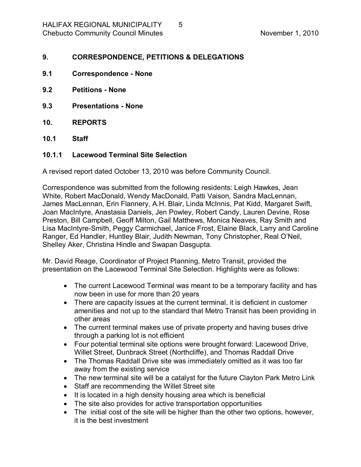#### <span id="page-4-0"></span>**9. CORRESPONDENCE, PETITIONS & DELEGATIONS**

- <span id="page-4-1"></span>**9.1 Correspondence None**
- <span id="page-4-2"></span>**9.2 Petitions None**
- <span id="page-4-3"></span>**9.3 Presentations None**
- <span id="page-4-4"></span>**10. REPORTS**
- <span id="page-4-5"></span>**10.1 Staff**

#### <span id="page-4-6"></span>**10.1.1 Lacewood Terminal Site Selection**

A revised report dated October 13, 2010 was before Community Council.

Correspondence was submitted from the following residents: Leigh Hawkes, Jean White, Robert MacDonald, Wendy MacDonald, Patti Vaison, Sandra MacLennan, James MacLennan, Erin Flannery, A.H. Blair, Linda McInnis, Pat Kidd, Margaret Swift, Joan MacIntyre, Anastasia Daniels, Jen Powley, Robert Candy, Lauren Devine, Rose Preston, Bill Campbell, Geoff Milton, Gail Matthews, Monica Neaves, Ray Smith and Lisa MacIntyre-Smith, Peggy Carmichael, Janice Frost, Elaine Black, Larry and Caroline Ranger, Ed Handler, Huntley Blair, Judith Newman, Tony Christopher, Real O'Neil, Shelley Aker, Christina Hindle and Swapan Dasgupta.

Mr. David Reage, Coordinator of Project Planning, Metro Transit, provided the presentation on the Lacewood Terminal Site Selection. Highlights were as follows:

- The current Lacewood Terminal was meant to be a temporary facility and has now been in use for more than 20 years
- · There are capacity issues at the current terminal, it is deficient in customer amenities and not up to the standard that Metro Transit has been providing in other areas
- The current terminal makes use of private property and having buses drive through a parking lot is not efficient
- · Four potential terminal site options were brought forward: Lacewood Drive, Willet Street, Dunbrack Street (Northcliffe), and Thomas Raddall Drive
- · The Thomas Raddall Drive site was immediately omitted as it was too far away from the existing service
- The new terminal site will be a catalyst for the future Clayton Park Metro Link
- · Staff are recommending the Willet Street site
- It is located in a high density housing area which is beneficial
- · The site also provides for active transportation opportunities
- · The initial cost of the site will be higher than the other two options, however, it is the best investment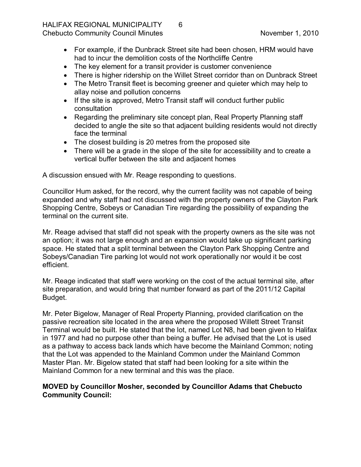# HALIFAX REGIONAL MUNICIPALITY 6

- · For example, if the Dunbrack Street site had been chosen, HRM would have had to incur the demolition costs of the Northcliffe Centre
- · The key element for a transit provider is customer convenience
- · There is higher ridership on the Willet Street corridor than on Dunbrack Street
- The Metro Transit fleet is becoming greener and quieter which may help to allay noise and pollution concerns
- If the site is approved, Metro Transit staff will conduct further public consultation
- · Regarding the preliminary site concept plan, Real Property Planning staff decided to angle the site so that adjacent building residents would not directly face the terminal
- The closest building is 20 metres from the proposed site
- · There will be a grade in the slope of the site for accessibility and to create a vertical buffer between the site and adjacent homes

A discussion ensued with Mr. Reage responding to questions.

Councillor Hum asked, for the record, why the current facility was not capable of being expanded and why staff had not discussed with the property owners of the Clayton Park Shopping Centre, Sobeys or Canadian Tire regarding the possibility of expanding the terminal on the current site.

Mr. Reage advised that staff did not speak with the property owners as the site was not an option; it was not large enough and an expansion would take up significant parking space. He stated that a split terminal between the Clayton Park Shopping Centre and Sobeys/Canadian Tire parking lot would not work operationally nor would it be cost efficient.

Mr. Reage indicated that staff were working on the cost of the actual terminal site, after site preparation, and would bring that number forward as part of the 2011/12 Capital Budget.

Mr. Peter Bigelow, Manager of Real Property Planning, provided clarification on the passive recreation site located in the area where the proposed Willett Street Transit Terminal would be built. He stated that the lot, named Lot N8, had been given to Halifax in 1977 and had no purpose other than being a buffer. He advised that the Lot is used as a pathway to access back lands which have become the Mainland Common; noting that the Lot was appended to the Mainland Common under the Mainland Common Master Plan. Mr. Bigelow stated that staff had been looking for a site within the Mainland Common for a new terminal and this was the place.

# **MOVED by Councillor Mosher, seconded by Councillor Adams that Chebucto Community Council:**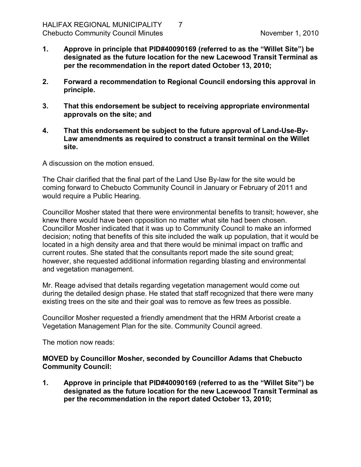- **1. Approve in principle that PID#40090169 (referred to as the "Willet Site") be designated as the future location for the new Lacewood Transit Terminal as per the recommendation in the report dated October 13, 2010;**
- **2. Forward a recommendation to Regional Council endorsing this approval in principle.**
- **3. That this endorsement be subject to receiving appropriate environmental approvals on the site; and**
- **4.** That this endorsement be subject to the future approval of Land-Use-By-**Law amendments as required to construct a transit terminal on the Willet site.**

A discussion on the motion ensued.

The Chair clarified that the final part of the Land Use By-law for the site would be coming forward to Chebucto Community Council in January or February of 2011 and would require a Public Hearing.

Councillor Mosher stated that there were environmental benefits to transit; however, she knew there would have been opposition no matter what site had been chosen. Councillor Mosher indicated that it was up to Community Council to make an informed decision; noting that benefits of this site included the walk up population, that it would be located in a high density area and that there would be minimal impact on traffic and current routes. She stated that the consultants report made the site sound great; however, she requested additional information regarding blasting and environmental and vegetation management.

Mr. Reage advised that details regarding vegetation management would come out during the detailed design phase. He stated that staff recognized that there were many existing trees on the site and their goal was to remove as few trees as possible.

Councillor Mosher requested a friendly amendment that the HRM Arborist create a Vegetation Management Plan for the site. Community Council agreed.

The motion now reads:

#### **MOVED by Councillor Mosher, seconded by Councillor Adams that Chebucto Community Council:**

**1. Approve in principle that PID#40090169 (referred to as the "Willet Site") be designated as the future location for the new Lacewood Transit Terminal as per the recommendation in the report dated October 13, 2010;**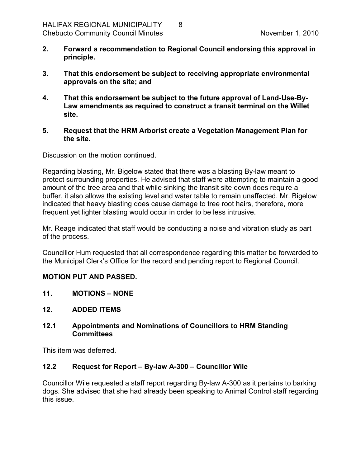- **2. Forward a recommendation to Regional Council endorsing this approval in principle.**
- **3. That this endorsement be subject to receiving appropriate environmental approvals on the site; and**
- **4.** That this endorsement be subject to the future approval of Land-Use-By-**Law amendments as required to construct a transit terminal on the Willet site.**
- **5. Request that the HRM Arborist create a Vegetation Management Plan for the site.**

Discussion on the motion continued.

Regarding blasting, Mr. Bigelow stated that there was a blasting By-law meant to protect surrounding properties. He advised that staff were attempting to maintain a good amount of the tree area and that while sinking the transit site down does require a buffer, it also allows the existing level and water table to remain unaffected. Mr. Bigelow indicated that heavy blasting does cause damage to tree root hairs, therefore, more frequent yet lighter blasting would occur in order to be less intrusive.

Mr. Reage indicated that staff would be conducting a noise and vibration study as part of the process.

Councillor Hum requested that all correspondence regarding this matter be forwarded to the Municipal Clerk's Office for the record and pending report to Regional Council.

#### **MOTION PUT AND PASSED.**

- <span id="page-7-0"></span>**11. MOTIONS – NONE**
- <span id="page-7-1"></span>**12. ADDED ITEMS**

#### <span id="page-7-2"></span>**12.1 Appointments and Nominations of Councillors to HRM Standing Committees**

This item was deferred.

#### <span id="page-7-3"></span>**12.2 Request for Report – Bylaw A300 – Councillor Wile**

Councillor Wile requested a staff report regarding By-law A-300 as it pertains to barking dogs. She advised that she had already been speaking to Animal Control staff regarding this issue.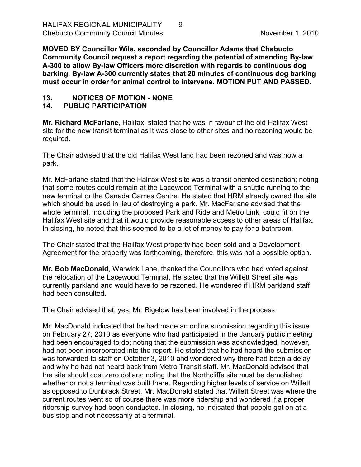**MOVED BY Councillor Wile, seconded by Councillor Adams that Chebucto Community Council request a report regarding the potential of amending Bylaw A300 to allow Bylaw Officers more discretion with regards to continuous dog barking. Bylaw A300 currently states that 20 minutes of continuous dog barking must occur in order for animal control to intervene. MOTION PUT AND PASSED.** 

### <span id="page-8-0"></span>13. NOTICES OF MOTION - NONE

#### <span id="page-8-1"></span>**14. PUBLIC PARTICIPATION**

**Mr. Richard McFarlane,** Halifax, stated that he was in favour of the old Halifax West site for the new transit terminal as it was close to other sites and no rezoning would be required.

The Chair advised that the old Halifax West land had been rezoned and was now a park.

Mr. McFarlane stated that the Halifax West site was a transit oriented destination; noting that some routes could remain at the Lacewood Terminal with a shuttle running to the new terminal or the Canada Games Centre. He stated that HRM already owned the site which should be used in lieu of destroying a park. Mr. MacFarlane advised that the whole terminal, including the proposed Park and Ride and Metro Link, could fit on the Halifax West site and that it would provide reasonable access to other areas of Halifax. In closing, he noted that this seemed to be a lot of money to pay for a bathroom.

The Chair stated that the Halifax West property had been sold and a Development Agreement for the property was forthcoming, therefore, this was not a possible option.

**Mr. Bob MacDonald**, Warwick Lane, thanked the Councillors who had voted against the relocation of the Lacewood Terminal. He stated that the Willett Street site was currently parkland and would have to be rezoned. He wondered if HRM parkland staff had been consulted.

The Chair advised that, yes, Mr. Bigelow has been involved in the process.

Mr. MacDonald indicated that he had made an online submission regarding this issue on February 27, 2010 as everyone who had participated in the January public meeting had been encouraged to do; noting that the submission was acknowledged, however, had not been incorporated into the report. He stated that he had heard the submission was forwarded to staff on October 3, 2010 and wondered why there had been a delay and why he had not heard back from Metro Transit staff. Mr. MacDonald advised that the site should cost zero dollars; noting that the Northcliffe site must be demolished whether or not a terminal was built there. Regarding higher levels of service on Willett as opposed to Dunbrack Street, Mr. MacDonald stated that Willett Street was where the current routes went so of course there was more ridership and wondered if a proper ridership survey had been conducted. In closing, he indicated that people get on at a bus stop and not necessarily at a terminal.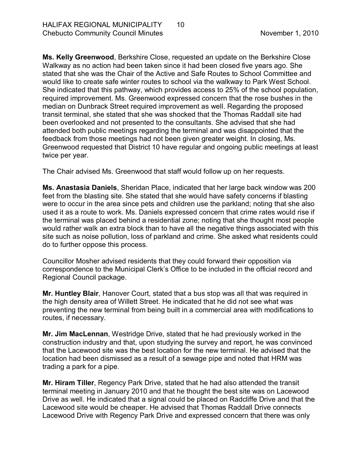**Ms. Kelly Greenwood**, Berkshire Close, requested an update on the Berkshire Close Walkway as no action had been taken since it had been closed five years ago. She stated that she was the Chair of the Active and Safe Routes to School Committee and would like to create safe winter routes to school via the walkway to Park West School. She indicated that this pathway, which provides access to 25% of the school population, required improvement. Ms. Greenwood expressed concern that the rose bushes in the median on Dunbrack Street required improvement as well. Regarding the proposed transit terminal, she stated that she was shocked that the Thomas Raddall site had been overlooked and not presented to the consultants. She advised that she had attended both public meetings regarding the terminal and was disappointed that the feedback from those meetings had not been given greater weight. In closing, Ms. Greenwood requested that District 10 have regular and ongoing public meetings at least twice per year.

The Chair advised Ms. Greenwood that staff would follow up on her requests.

**Ms. Anastasia Daniels**, Sheridan Place, indicated that her large back window was 200 feet from the blasting site. She stated that she would have safety concerns if blasting were to occur in the area since pets and children use the parkland; noting that she also used it as a route to work. Ms. Daniels expressed concern that crime rates would rise if the terminal was placed behind a residential zone; noting that she thought most people would rather walk an extra block than to have all the negative things associated with this site such as noise pollution, loss of parkland and crime. She asked what residents could do to further oppose this process.

Councillor Mosher advised residents that they could forward their opposition via correspondence to the Municipal Clerk's Office to be included in the official record and Regional Council package.

**Mr. Huntley Blair**, Hanover Court, stated that a bus stop was all that was required in the high density area of Willett Street. He indicated that he did not see what was preventing the new terminal from being built in a commercial area with modifications to routes, if necessary.

**Mr. Jim MacLennan**, Westridge Drive, stated that he had previously worked in the construction industry and that, upon studying the survey and report, he was convinced that the Lacewood site was the best location for the new terminal. He advised that the location had been dismissed as a result of a sewage pipe and noted that HRM was trading a park for a pipe.

**Mr. Hiram Tiller**, Regency Park Drive, stated that he had also attended the transit terminal meeting in January 2010 and that he thought the best site was on Lacewood Drive as well. He indicated that a signal could be placed on Radcliffe Drive and that the Lacewood site would be cheaper. He advised that Thomas Raddall Drive connects Lacewood Drive with Regency Park Drive and expressed concern that there was only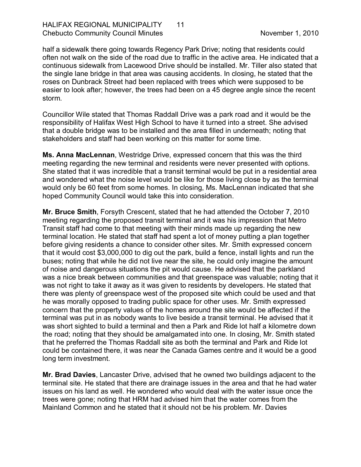half a sidewalk there going towards Regency Park Drive; noting that residents could often not walk on the side of the road due to traffic in the active area. He indicated that a continuous sidewalk from Lacewood Drive should be installed. Mr. Tiller also stated that the single lane bridge in that area was causing accidents. In closing, he stated that the roses on Dunbrack Street had been replaced with trees which were supposed to be easier to look after; however, the trees had been on a 45 degree angle since the recent storm.

Councillor Wile stated that Thomas Raddall Drive was a park road and it would be the responsibility of Halifax West High School to have it turned into a street. She advised that a double bridge was to be installed and the area filled in underneath; noting that stakeholders and staff had been working on this matter for some time.

**Ms. Anna MacLennan**, Westridge Drive, expressed concern that this was the third meeting regarding the new terminal and residents were never presented with options. She stated that it was incredible that a transit terminal would be put in a residential area and wondered what the noise level would be like for those living close by as the terminal would only be 60 feet from some homes. In closing, Ms. MacLennan indicated that she hoped Community Council would take this into consideration.

**Mr. Bruce Smith**, Forsyth Crescent, stated that he had attended the October 7, 2010 meeting regarding the proposed transit terminal and it was his impression that Metro Transit staff had come to that meeting with their minds made up regarding the new terminal location. He stated that staff had spent a lot of money putting a plan together before giving residents a chance to consider other sites. Mr. Smith expressed concern that it would cost \$3,000,000 to dig out the park, build a fence, install lights and run the buses; noting that while he did not live near the site, he could only imagine the amount of noise and dangerous situations the pit would cause. He advised that the parkland was a nice break between communities and that greenspace was valuable; noting that it was not right to take it away as it was given to residents by developers. He stated that there was plenty of greenspace west of the proposed site which could be used and that he was morally opposed to trading public space for other uses. Mr. Smith expressed concern that the property values of the homes around the site would be affected if the terminal was put in as nobody wants to live beside a transit terminal. He advised that it was short sighted to build a terminal and then a Park and Ride lot half a kilometre down the road; noting that they should be amalgamated into one. In closing, Mr. Smith stated that he preferred the Thomas Raddall site as both the terminal and Park and Ride lot could be contained there, it was near the Canada Games centre and it would be a good long term investment.

**Mr. Brad Davies**, Lancaster Drive, advised that he owned two buildings adjacent to the terminal site. He stated that there are drainage issues in the area and that he had water issues on his land as well. He wondered who would deal with the water issue once the trees were gone; noting that HRM had advised him that the water comes from the Mainland Common and he stated that it should not be his problem. Mr. Davies